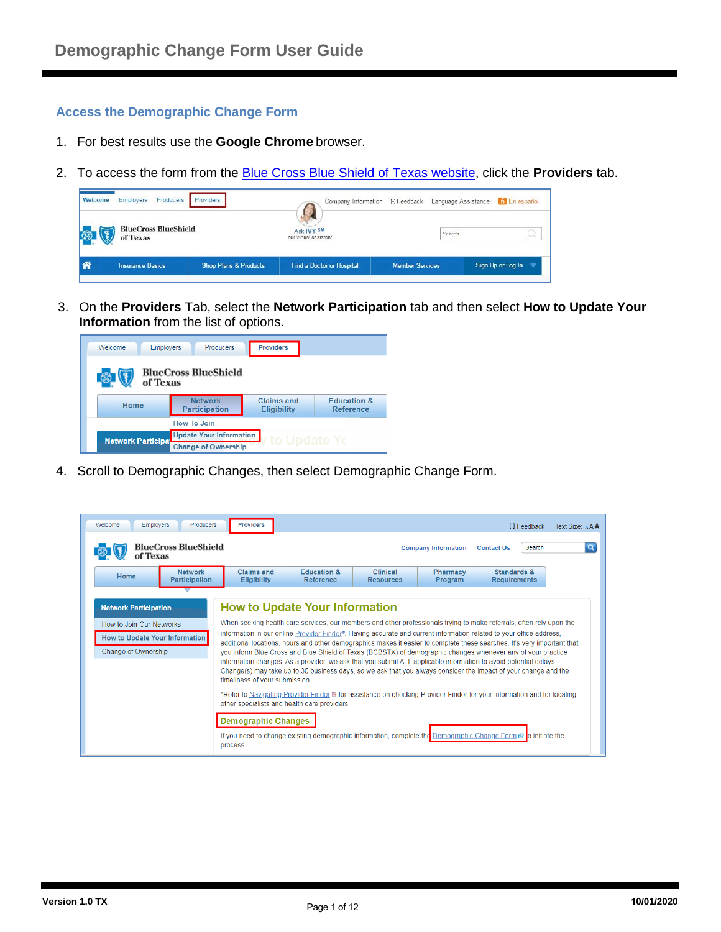### **Access the Demographic Change Form**

- 1. For best results use the **Google Chrome** browser.
- 2. To access the form from the [Blue Cross Blue Shield of Texas website,](https://www.bcbstx.com/provider/) click the **Providers** tab.

| Welcome | Producers<br>Employers                  | Providers                        |                                     |                        | Company Information [H] Feedback Language Assistance | <b>fil</b> En español |
|---------|-----------------------------------------|----------------------------------|-------------------------------------|------------------------|------------------------------------------------------|-----------------------|
| 5       | <b>BlueCross BlueShield</b><br>of Texas |                                  | Ask IVY SM<br>our virtual assistant |                        | Search                                               |                       |
| 俗       | <b>Insurance Basics</b>                 | <b>Shop Plans &amp; Products</b> | Find a Doctor or Hospital           | <b>Member Services</b> |                                                      | Sign Up or Log In     |

3. On the **Providers** Tab, select the **Network Participation** tab and then select **How to Update Your Information** from the list of options.



4. Scroll to Demographic Changes, then select Demographic Change Form.

| <b>Employers</b><br>Welcome<br>of Texas                                                                                  | <b>Producers</b><br><b>BlueCross BlueShield</b> | <b>Providers</b>                                                                                                                                                                                                                                                              |                                     |                              | <b>Company Information</b> | H Feedback<br>Search<br><b>Contact Us</b>                                                                                                                                                                                                                                                                                                                                                                                                                                                                                                                                                                                                                                                                                                                                                                                                                             | Text Size: AAA<br>$\alpha$ |
|--------------------------------------------------------------------------------------------------------------------------|-------------------------------------------------|-------------------------------------------------------------------------------------------------------------------------------------------------------------------------------------------------------------------------------------------------------------------------------|-------------------------------------|------------------------------|----------------------------|-----------------------------------------------------------------------------------------------------------------------------------------------------------------------------------------------------------------------------------------------------------------------------------------------------------------------------------------------------------------------------------------------------------------------------------------------------------------------------------------------------------------------------------------------------------------------------------------------------------------------------------------------------------------------------------------------------------------------------------------------------------------------------------------------------------------------------------------------------------------------|----------------------------|
| Home                                                                                                                     | <b>Network</b><br>Participation                 | Claims and<br><b>Eligibility</b>                                                                                                                                                                                                                                              | <b>Education &amp;</b><br>Reference | Clinical<br><b>Resources</b> | <b>Pharmacy</b><br>Program | <b>Standards &amp;</b><br><b>Requirements</b>                                                                                                                                                                                                                                                                                                                                                                                                                                                                                                                                                                                                                                                                                                                                                                                                                         |                            |
| <b>Network Participation</b><br>How to Join Our Networks<br>How to Update Your Information<br><b>Change of Ownership</b> |                                                 | <b>How to Update Your Information</b><br>timeliness of your submission.<br>other specialists and health care providers.<br><b>Demographic Changes</b><br>If you need to change existing demographic information, complete the Demographic Change Form <b>B</b> o initiate the |                                     |                              |                            | When seeking health care services, our members and other professionals trying to make referrals, often rely upon the<br>information in our online Provider Finder <sup>®</sup> . Having accurate and current information related to your office address,<br>additional locations, hours and other demographics makes it easier to complete these searches. It's very important that<br>you inform Blue Cross and Blue Shield of Texas (BCBSTX) of demographic changes whenever any of your practice<br>information changes. As a provider, we ask that you submit ALL applicable information to avoid potential delays.<br>Change(s) may take up to 30 business days, so we ask that you always consider the impact of your change and the<br>*Refer to Navigating Provider Finder B for assistance on checking Provider Finder for your information and for locating |                            |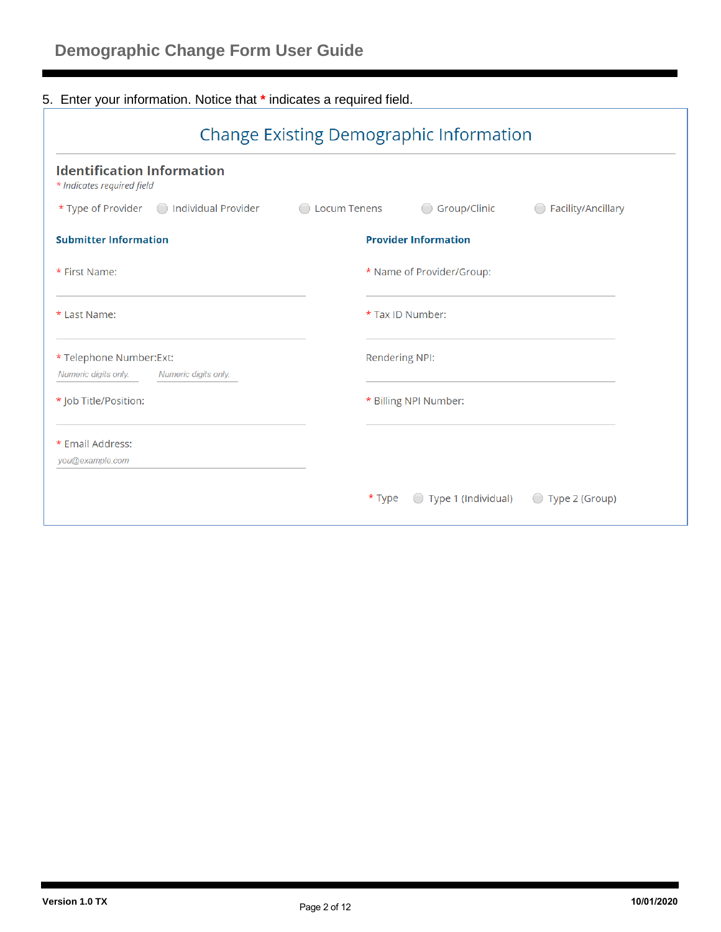# 5. Enter your information. Notice that **\*** indicates a required field.

| <b>Identification Information</b><br>* Indicates required field          |                     |                             |                                                          |
|--------------------------------------------------------------------------|---------------------|-----------------------------|----------------------------------------------------------|
| $\star$ Type of Provider $\bigcirc$<br><b>Individual Provider</b>        | <b>Locum Tenens</b> | Group/Clinic                | Facility/Ancillary                                       |
| <b>Submitter Information</b>                                             |                     | <b>Provider Information</b> |                                                          |
| * First Name:                                                            |                     | * Name of Provider/Group:   |                                                          |
| * Last Name:                                                             |                     | * Tax ID Number:            |                                                          |
| * Telephone Number: Ext:<br>Numeric digits only.<br>Numeric digits only. |                     | <b>Rendering NPI:</b>       |                                                          |
| * Job Title/Position:                                                    |                     | * Billing NPI Number:       |                                                          |
| * Email Address:<br>you@example.com                                      |                     |                             |                                                          |
|                                                                          | * Type              | Type 1 (Individual)         | Type 2 (Group)<br>$\begin{pmatrix} 1 \\ 1 \end{pmatrix}$ |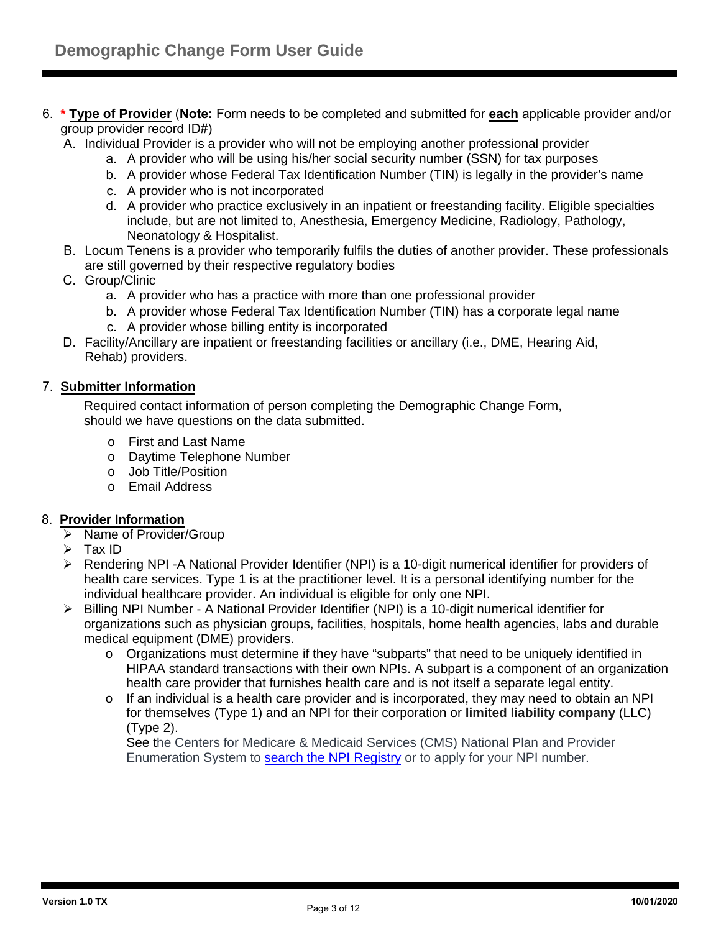- 6. **\* Type of Provider** (**Note:** Form needs to be completed and submitted for **each** applicable provider and/or group provider record ID#)
	- A. Individual Provider is a provider who will not be employing another professional provider
		- a. A provider who will be using his/her social security number (SSN) for tax purposes
		- b. A provider whose Federal Tax Identification Number (TIN) is legally in the provider's name
		- c. A provider who is not incorporated
		- d. A provider who practice exclusively in an inpatient or freestanding facility. Eligible specialties include, but are not limited to, Anesthesia, Emergency Medicine, Radiology, Pathology, Neonatology & Hospitalist.
	- B. Locum Tenens is a provider who temporarily fulfils the duties of another provider. These professionals are still governed by their respective regulatory bodies
	- C. Group/Clinic
		- a. A provider who has a practice with more than one professional provider
		- b. A provider whose Federal Tax Identification Number (TIN) has a corporate legal name
		- c. A provider whose billing entity is incorporated
	- D. Facility/Ancillary are inpatient or freestanding facilities or ancillary (i.e., DME, Hearing Aid, Rehab) providers.

#### 7. **Submitter Information**

Required contact information of person completing the Demographic Change Form, should we have questions on the data submitted.

- o First and Last Name
- o Daytime Telephone Number
- o Job Title/Position
- o Email Address

#### 8. **Provider Information**

- $\triangleright$  Name of Provider/Group
- $\triangleright$  Tax ID
- $\triangleright$  Rendering NPI -A National Provider Identifier (NPI) is a 10-digit numerical identifier for providers of health care services. Type 1 is at the practitioner level. It is a personal identifying number for the individual healthcare provider. An individual is eligible for only one NPI.
- Billing NPI Number A National Provider Identifier (NPI) is a 10-digit numerical identifier for organizations such as physician groups, facilities, hospitals, home health agencies, labs and durable medical equipment (DME) providers.
	- o Organizations must determine if they have "subparts" that need to be uniquely identified in HIPAA standard transactions with their own NPIs. A subpart is a component of an organization health care provider that furnishes health care and is not itself a separate legal entity.
	- $\circ$  If an individual is a health care provider and is incorporated, they may need to obtain an NPI for themselves (Type 1) and an NPI for their corporation or **limited liability company** (LLC) (Type 2).

See the Centers for Medicare & Medicaid Services (CMS) National Plan and Provider Enumeration System to [search the NPI Registry](https://nppes.cms.hhs.gov/#/) or to apply for your NPI number.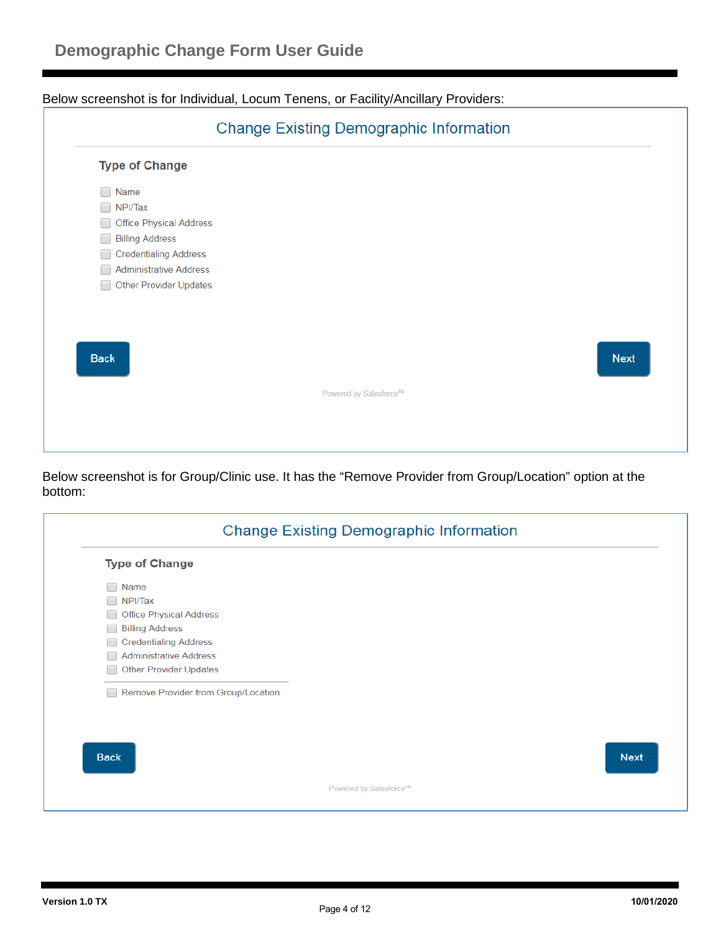Below screenshot is for Individual, Locum Tenens, or Facility/Ancillary Providers:



Below screenshot is for Group/Clinic use. It has the "Remove Provider from Group/Location" option at the bottom:

| <b>Type of Change</b>               |  |
|-------------------------------------|--|
| Name                                |  |
| NPI/Tax                             |  |
| <b>Office Physical Address</b>      |  |
| <b>Billing Address</b>              |  |
| <b>Credentialing Address</b>        |  |
| <b>Administrative Address</b>       |  |
| <b>Other Provider Updates</b>       |  |
|                                     |  |
| Remove Provider from Group/Location |  |
| <b>Back</b>                         |  |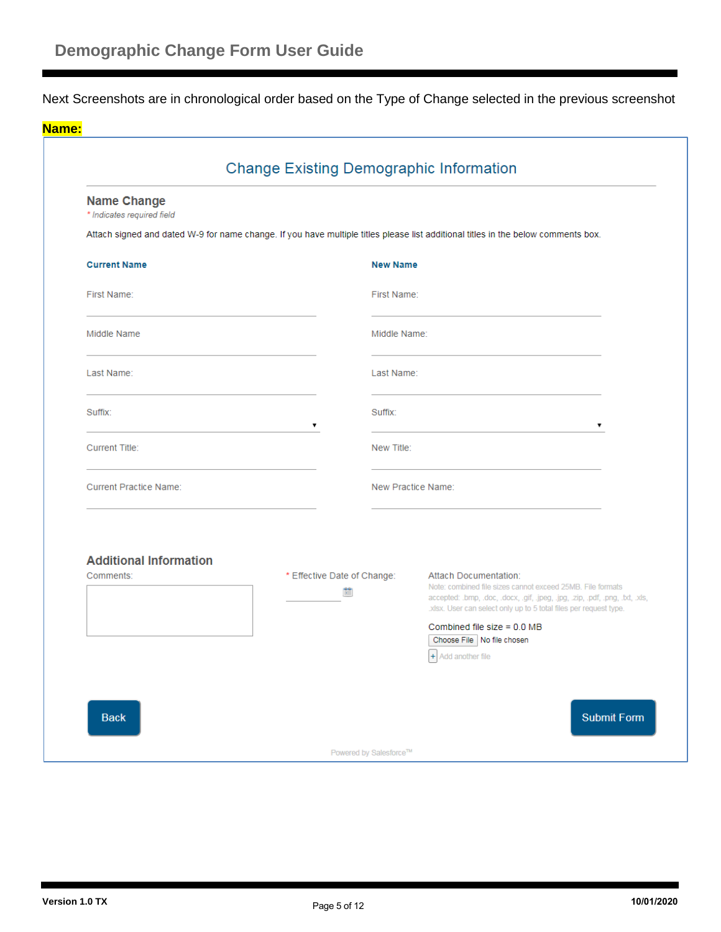Next Screenshots are in chronological order based on the Type of Change selected in the previous screenshot

|                                                  | <b>Change Existing Demographic Information</b> |                    |                                                                                                                                                                                                                                           |
|--------------------------------------------------|------------------------------------------------|--------------------|-------------------------------------------------------------------------------------------------------------------------------------------------------------------------------------------------------------------------------------------|
| <b>Name Change</b><br>* Indicates required field |                                                |                    |                                                                                                                                                                                                                                           |
|                                                  |                                                |                    | Attach signed and dated W-9 for name change. If you have multiple titles please list additional titles in the below comments box.                                                                                                         |
| <b>Current Name</b>                              |                                                | <b>New Name</b>    |                                                                                                                                                                                                                                           |
| First Name:                                      |                                                | First Name:        |                                                                                                                                                                                                                                           |
| Middle Name                                      |                                                | Middle Name:       |                                                                                                                                                                                                                                           |
| Last Name:                                       |                                                | Last Name:         |                                                                                                                                                                                                                                           |
| Suffix:                                          | ۷                                              | Suffix:            | ۷                                                                                                                                                                                                                                         |
| <b>Current Title:</b>                            |                                                | New Title:         |                                                                                                                                                                                                                                           |
| <b>Current Practice Name:</b>                    |                                                | New Practice Name: |                                                                                                                                                                                                                                           |
|                                                  |                                                |                    |                                                                                                                                                                                                                                           |
| <b>Additional Information</b>                    |                                                |                    |                                                                                                                                                                                                                                           |
| Comments:                                        | * Effective Date of Change:<br>鱛               |                    | Attach Documentation:<br>Note: combined file sizes cannot exceed 25MB. File formats<br>accepted: .bmp, .doc, .docx, .gif, .jpeg, .jpg, .zip, .pdf, .png, .txt, .xls,<br>.xlsx. User can select only up to 5 total files per request type. |
|                                                  |                                                |                    | Combined file size = 0.0 MB<br>Choose File   No file chosen<br>$+$ Add another file                                                                                                                                                       |
|                                                  |                                                |                    |                                                                                                                                                                                                                                           |
|                                                  |                                                |                    |                                                                                                                                                                                                                                           |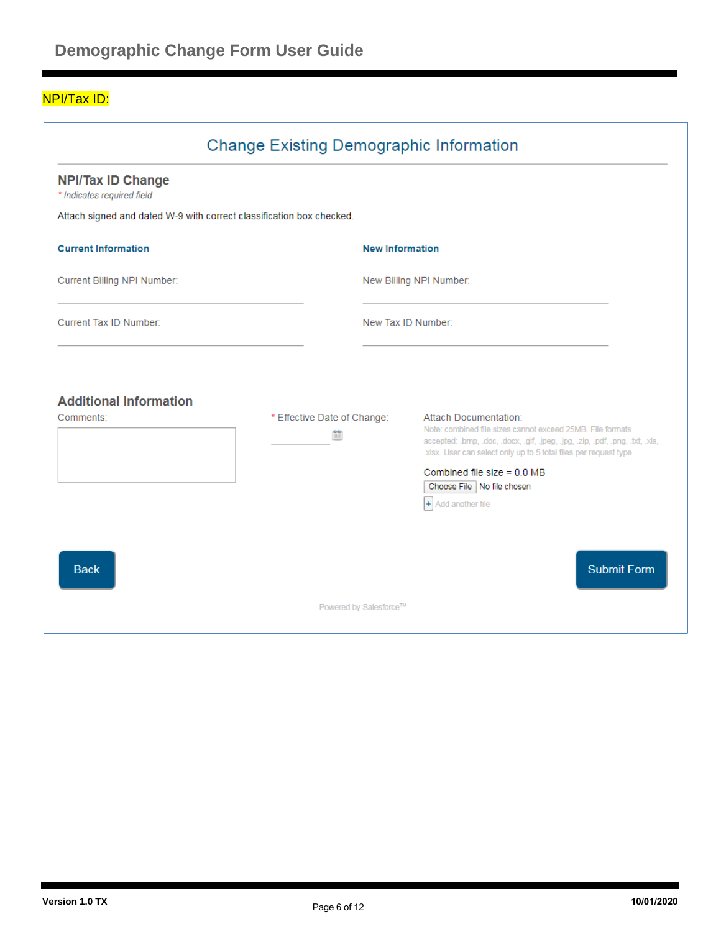### NPI/Tax ID:

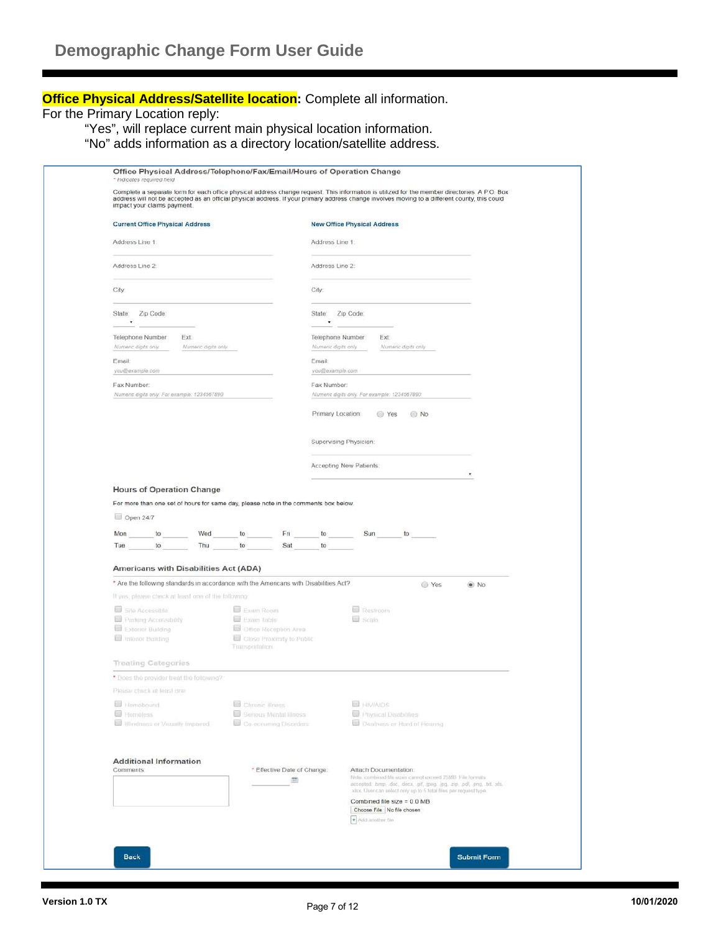## **Office Physical Address/Satellite location:** Complete all information.

For the Primary Location reply:

"Yes", will replace current main physical location information.

"No" adds information as a directory location/satellite address.

| impact your claims payment.                                                                                                                     |                                                                                | Complete a separate form for each office physical address change request. This information is utilized for the member directories. A P.O. Box<br>address will not be accepted as an official physical address. If your primary address change involves moving to a different county, this could |
|-------------------------------------------------------------------------------------------------------------------------------------------------|--------------------------------------------------------------------------------|-------------------------------------------------------------------------------------------------------------------------------------------------------------------------------------------------------------------------------------------------------------------------------------------------|
| <b>Current Office Physical Address</b>                                                                                                          |                                                                                | <b>New Office Physical Address</b>                                                                                                                                                                                                                                                              |
| Address Line 1:                                                                                                                                 |                                                                                | Address Line 1:                                                                                                                                                                                                                                                                                 |
| Address Line 2:                                                                                                                                 |                                                                                | Address Line 2:                                                                                                                                                                                                                                                                                 |
|                                                                                                                                                 |                                                                                |                                                                                                                                                                                                                                                                                                 |
| City.                                                                                                                                           |                                                                                | City:                                                                                                                                                                                                                                                                                           |
| State:<br>Zip Code:<br>$\pmb v$                                                                                                                 |                                                                                | State: Zip Code:<br>$\pmb{\mathrm{v}}$                                                                                                                                                                                                                                                          |
| Telephone Number<br>Ext:                                                                                                                        |                                                                                | Telephone Number<br>Ext                                                                                                                                                                                                                                                                         |
| Numeric digits only<br>Numeric digits only.<br>Email:                                                                                           |                                                                                | Numeric digits only<br>Numeric digits only<br>Email:                                                                                                                                                                                                                                            |
| you@example.com                                                                                                                                 |                                                                                | you@example.com                                                                                                                                                                                                                                                                                 |
| Fax Number:                                                                                                                                     |                                                                                | Fax Number:                                                                                                                                                                                                                                                                                     |
| Numeric digits only. For example: 1234567890.                                                                                                   |                                                                                | Numeric digits only. For example: 1234567890                                                                                                                                                                                                                                                    |
|                                                                                                                                                 |                                                                                | Primary Location:<br>◯ Yes<br>O No                                                                                                                                                                                                                                                              |
|                                                                                                                                                 |                                                                                | Supervising Physician:                                                                                                                                                                                                                                                                          |
|                                                                                                                                                 |                                                                                | Accepting New Patients:                                                                                                                                                                                                                                                                         |
|                                                                                                                                                 |                                                                                | ٠                                                                                                                                                                                                                                                                                               |
| For more than one set of hours for same day, please note in the comments box below.<br>$\Box$ Open 24/7<br>Wed<br>Mon<br>to<br>Tue<br>Thu<br>to | Fri<br>to<br>to<br>Sat                                                         | Sun<br>to<br>to<br>to                                                                                                                                                                                                                                                                           |
| Americans with Disabilities Act (ADA)                                                                                                           |                                                                                |                                                                                                                                                                                                                                                                                                 |
| * Are the following standards in accordance with the Americans with Disabilities Act?                                                           |                                                                                | Ves<br>$\odot$ No                                                                                                                                                                                                                                                                               |
| If yes, please check at least one of the tollowing                                                                                              |                                                                                |                                                                                                                                                                                                                                                                                                 |
| Site Accessible<br>Farking Accessibility<br>Exterior Building<br>I Interior Building                                                            | Exam Room<br>Exam Table<br>Office Reception Area:<br>Close Proximity to Public | <b>Restroom</b><br>Scala                                                                                                                                                                                                                                                                        |
|                                                                                                                                                 | Transportation                                                                 |                                                                                                                                                                                                                                                                                                 |
| <b>Treating Categories</b><br>* Does the provider treat the following?                                                                          |                                                                                |                                                                                                                                                                                                                                                                                                 |
| Ploody Phyrical Insett and                                                                                                                      |                                                                                |                                                                                                                                                                                                                                                                                                 |
| Homebound<br>Homeless<br>Blindness or Visually Impaired                                                                                         | Chronic Illness<br>Senous Mental Illness<br>Co-eccurring Dispreters            | <b>ED HIVAIDS</b><br><b>ED Physical Disabilibes</b><br>Deathess or Hard of Heimrig                                                                                                                                                                                                              |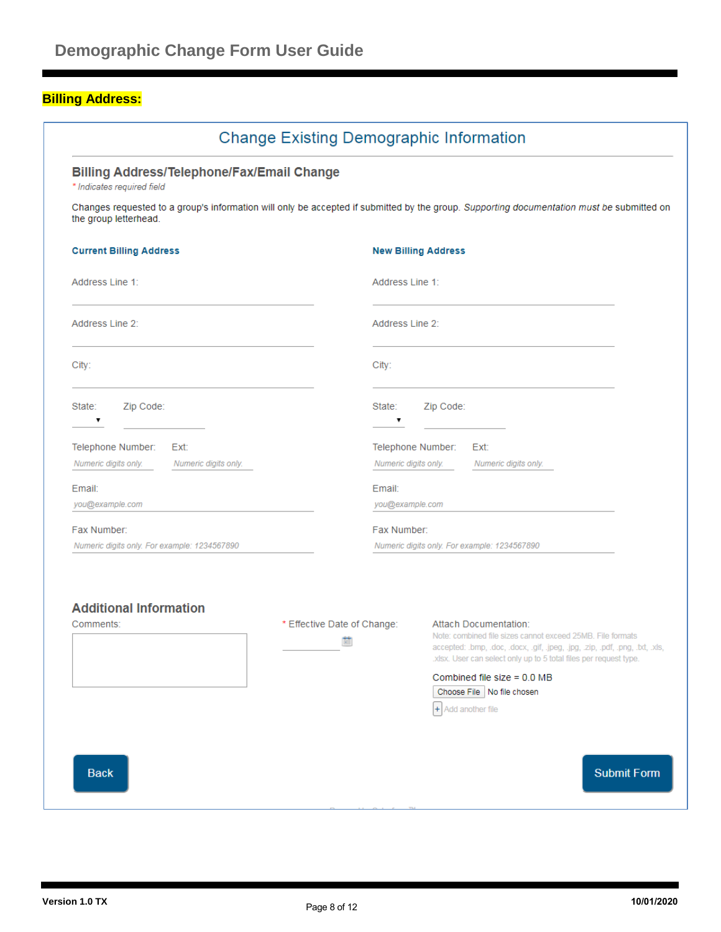# **Billing Address:**

|                                                                                 |                                  |                 | <b>Change Existing Demographic Information</b>                                                                                                                                                                                                                                                                                            |
|---------------------------------------------------------------------------------|----------------------------------|-----------------|-------------------------------------------------------------------------------------------------------------------------------------------------------------------------------------------------------------------------------------------------------------------------------------------------------------------------------------------|
| <b>Billing Address/Telephone/Fax/Email Change</b><br>* Indicates required field |                                  |                 |                                                                                                                                                                                                                                                                                                                                           |
| the group letterhead.                                                           |                                  |                 | Changes requested to a group's information will only be accepted if submitted by the group. Supporting documentation must be submitted on                                                                                                                                                                                                 |
| <b>Current Billing Address</b>                                                  |                                  |                 | <b>New Billing Address</b>                                                                                                                                                                                                                                                                                                                |
| Address Line 1:                                                                 |                                  | Address Line 1: |                                                                                                                                                                                                                                                                                                                                           |
| Address Line 2:                                                                 |                                  | Address Line 2: |                                                                                                                                                                                                                                                                                                                                           |
| City:                                                                           |                                  | City:           |                                                                                                                                                                                                                                                                                                                                           |
| Zip Code:<br>State:<br>▼                                                        |                                  | State:<br>▼     | Zip Code:                                                                                                                                                                                                                                                                                                                                 |
| Telephone Number: Ext:                                                          |                                  |                 | Telephone Number: Ext:                                                                                                                                                                                                                                                                                                                    |
| Numeric digits only.<br>Numeric digits only.                                    |                                  |                 | Numeric digits only.<br>Numeric digits only.                                                                                                                                                                                                                                                                                              |
| Email:                                                                          |                                  | Email:          |                                                                                                                                                                                                                                                                                                                                           |
| you@example.com                                                                 |                                  | you@example.com |                                                                                                                                                                                                                                                                                                                                           |
| Fax Number:                                                                     |                                  | Fax Number:     |                                                                                                                                                                                                                                                                                                                                           |
| Numeric digits only. For example: 1234567890                                    |                                  |                 | Numeric digits only. For example: 1234567890                                                                                                                                                                                                                                                                                              |
| <b>Additional Information</b><br>Comments:                                      | * Effective Date of Change:<br>圃 |                 | <b>Attach Documentation:</b><br>Note: combined file sizes cannot exceed 25MB. File formats<br>accepted: .bmp, .doc, .docx, .gif, .jpeg, .jpg, .zip, .pdf, .png, .txt, .xls,<br>.xlsx. User can select only up to 5 total files per request type.<br>Combined file size = $0.0$ MB<br>Choose File   No file chosen<br>$+$ Add another file |
| <b>Back</b>                                                                     |                                  |                 | <b>Submit Form</b>                                                                                                                                                                                                                                                                                                                        |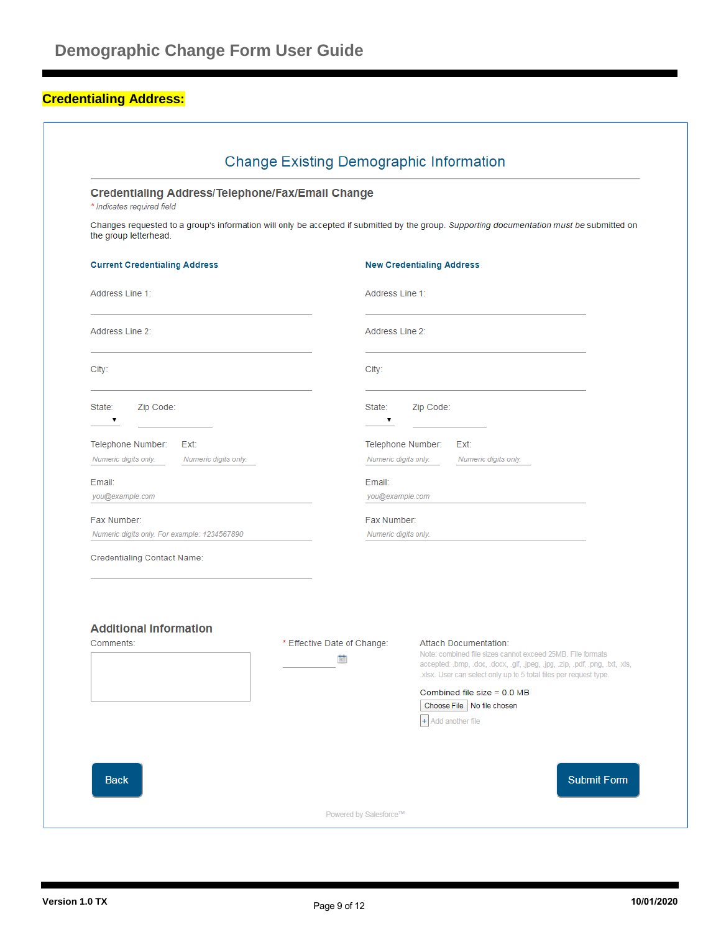## **Credentialing Address:**

| <b>Credentialing Address/Telephone/Fax/Email Change</b><br>* Indicates required field    |                                  |                                     |                                                                                                                                                                                                                                                                                                                                                          |
|------------------------------------------------------------------------------------------|----------------------------------|-------------------------------------|----------------------------------------------------------------------------------------------------------------------------------------------------------------------------------------------------------------------------------------------------------------------------------------------------------------------------------------------------------|
| the group letterhead.                                                                    |                                  |                                     | Changes requested to a group's information will only be accepted if submitted by the group. Supporting documentation must be submitted on                                                                                                                                                                                                                |
| <b>Current Credentialing Address</b>                                                     |                                  |                                     | <b>New Credentialing Address</b>                                                                                                                                                                                                                                                                                                                         |
| Address Line 1:                                                                          |                                  | Address Line 1:                     |                                                                                                                                                                                                                                                                                                                                                          |
| Address Line 2:                                                                          |                                  | Address Line 2:                     |                                                                                                                                                                                                                                                                                                                                                          |
| City:                                                                                    |                                  | City:                               |                                                                                                                                                                                                                                                                                                                                                          |
| Zip Code:<br>State:<br>7                                                                 |                                  | State:                              | Zip Code:                                                                                                                                                                                                                                                                                                                                                |
| Telephone Number:<br>Ext:<br>Numeric digits only.<br>Numeric digits only.                |                                  |                                     | Telephone Number:<br>Ext:<br>Numeric digits only.<br>Numeric digits only.                                                                                                                                                                                                                                                                                |
| Email:<br>you@example.com                                                                |                                  | Email:<br>you@example.com           |                                                                                                                                                                                                                                                                                                                                                          |
| Fax Number:<br>Numeric digits only. For example: 1234567890                              |                                  | Fax Number:<br>Numeric digits only. |                                                                                                                                                                                                                                                                                                                                                          |
| Credentialing Contact Name:<br><b>Additional Information</b><br>Comments:<br><b>Back</b> | * Effective Date of Change:<br>薗 |                                     | Attach Documentation:<br>Note: combined file sizes cannot exceed 25MB. File formats<br>accepted: .bmp, .doc, .docx, .gif, .jpeg, .jpg, .zip, .pdf, .png, .txt, .xls,<br>.xlsx. User can select only up to 5 total files per request type.<br>Combined file size = $0.0$ MB<br>Choose File   No file chosen<br>$+$ Add another file<br><b>Submit Form</b> |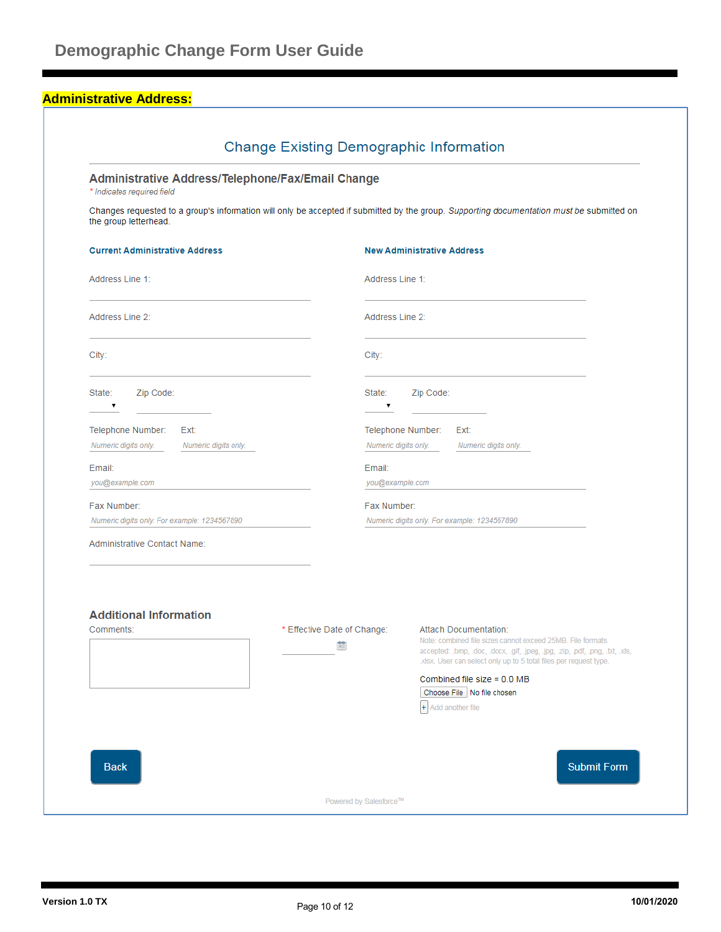### **Administrative Address:**

| Administrative Address/Telephone/Fax/Email Change<br>* Indicates required field |                                  |                                                                                                                                                                                                                                                 |
|---------------------------------------------------------------------------------|----------------------------------|-------------------------------------------------------------------------------------------------------------------------------------------------------------------------------------------------------------------------------------------------|
| the group letterhead.                                                           |                                  | Changes requested to a group's information will only be accepted if submitted by the group. Supporting documentation must be submitted on                                                                                                       |
| <b>Current Administrative Address</b>                                           |                                  | <b>New Administrative Address</b>                                                                                                                                                                                                               |
| Address Line 1:                                                                 |                                  | Address Line 1:                                                                                                                                                                                                                                 |
| Address Line 2:                                                                 |                                  | Address Line 2:                                                                                                                                                                                                                                 |
| City:                                                                           | City:                            |                                                                                                                                                                                                                                                 |
| Zip Code:<br>State:                                                             |                                  | Zip Code:<br>State:                                                                                                                                                                                                                             |
| Telephone Number:<br>Ext:<br>Numeric digits only.<br>Numeric digits only.       |                                  | Telephone Number:<br>Ext:<br>Numeric digits only.<br>Numeric digits only.                                                                                                                                                                       |
| Email:<br>you@example.com                                                       |                                  | Email:<br>you@example.com                                                                                                                                                                                                                       |
| Fax Number:<br>Numeric digits only. For example: 1234567890                     |                                  | Fax Number:<br>Numeric digits only. For example: 1234567890                                                                                                                                                                                     |
| Administrative Contact Name:                                                    |                                  |                                                                                                                                                                                                                                                 |
| <b>Additional Information</b>                                                   |                                  |                                                                                                                                                                                                                                                 |
| Comments:                                                                       | * Effective Date of Change:<br>簂 | <b>Attach Documentation:</b><br>Note: combined file sizes cannot exceed 25MB. File formats<br>accepted: .bmp, .doc, .docx, .gif, .jpeg, .jpg, .zip, .pdf, .png, .txt, .xls,<br>xlsx. User can select only up to 5 total files per request type. |
|                                                                                 |                                  | Combined file size = $0.0$ MB<br>Choose File   No file chosen<br>+ Add another file                                                                                                                                                             |
| <b>Back</b>                                                                     |                                  | <b>Submit Form</b>                                                                                                                                                                                                                              |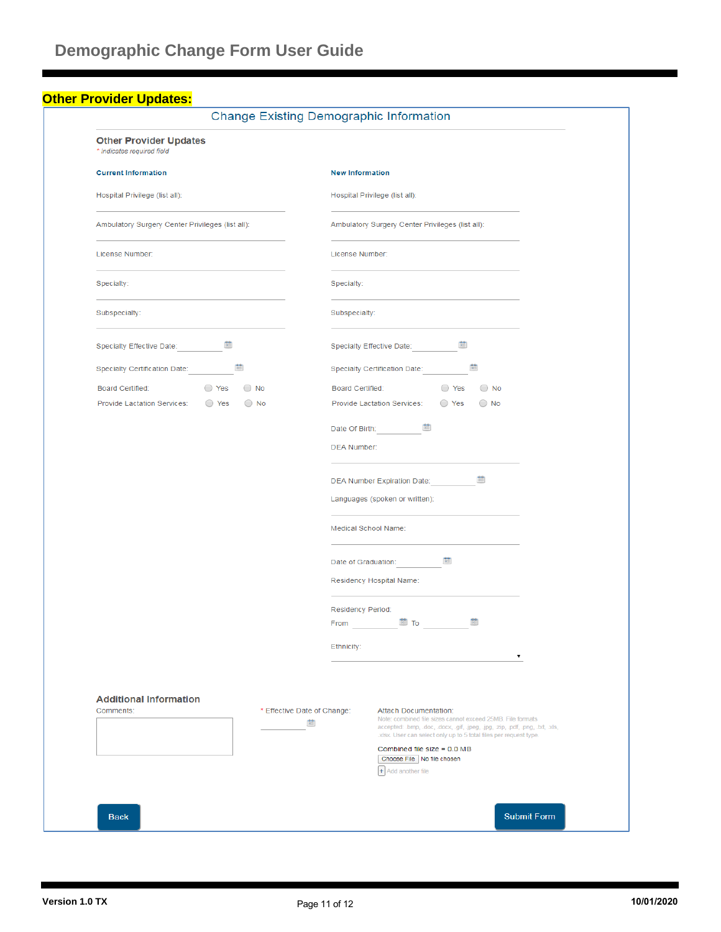### **Other Provider Updates:**

|                                                                           | <b>Change Existing Demographic Information</b>                                                                                                                                                                                                                                      |  |  |  |  |
|---------------------------------------------------------------------------|-------------------------------------------------------------------------------------------------------------------------------------------------------------------------------------------------------------------------------------------------------------------------------------|--|--|--|--|
| <b>Other Provider Updates</b><br>* Indicates required field               |                                                                                                                                                                                                                                                                                     |  |  |  |  |
| <b>Current Information</b>                                                | <b>New Information</b>                                                                                                                                                                                                                                                              |  |  |  |  |
| Hospital Privilege (list all):                                            | Hospital Privilege (list all):                                                                                                                                                                                                                                                      |  |  |  |  |
| Ambulatory Surgery Center Privileges (list all):                          | Ambulatory Surgery Center Privileges (list all):                                                                                                                                                                                                                                    |  |  |  |  |
| License Number:                                                           | License Number:                                                                                                                                                                                                                                                                     |  |  |  |  |
| Specialty:                                                                | Specialty:                                                                                                                                                                                                                                                                          |  |  |  |  |
| Subspecialty:                                                             | Subspecialty:                                                                                                                                                                                                                                                                       |  |  |  |  |
| Specialty Effective Date: <b>1999</b>                                     | Specialty Effective Date: <u>[</u>                                                                                                                                                                                                                                                  |  |  |  |  |
| Specialty Certification Date: [                                           | Specialty Certification Date: 图                                                                                                                                                                                                                                                     |  |  |  |  |
| Board Certified: ○ Yes ○ No                                               | Board Certified: ○ Yes ○ No                                                                                                                                                                                                                                                         |  |  |  |  |
| Provide Lactation Services: ○ Yes ○ No                                    | Provide Lactation Services: ○ Yes ○ No                                                                                                                                                                                                                                              |  |  |  |  |
|                                                                           | Date Of Birth: <b>圖</b>                                                                                                                                                                                                                                                             |  |  |  |  |
|                                                                           | <b>DEA Number:</b>                                                                                                                                                                                                                                                                  |  |  |  |  |
|                                                                           |                                                                                                                                                                                                                                                                                     |  |  |  |  |
|                                                                           | DEA Number Expiration Date: <b>圖</b>                                                                                                                                                                                                                                                |  |  |  |  |
|                                                                           | Languages (spoken or written):                                                                                                                                                                                                                                                      |  |  |  |  |
|                                                                           | Medical School Name:                                                                                                                                                                                                                                                                |  |  |  |  |
|                                                                           | Date of Graduation: 图                                                                                                                                                                                                                                                               |  |  |  |  |
|                                                                           | Residency Hospital Name:                                                                                                                                                                                                                                                            |  |  |  |  |
|                                                                           | Residency Period:                                                                                                                                                                                                                                                                   |  |  |  |  |
|                                                                           | 簂<br>$\frac{1}{\sqrt{2}}$ To $\frac{1}{\sqrt{2}}$<br>From the control of the state of the state of the state of the state of the state of the state of the state of the state of the state of the state of the state of the state of the state of the state of the state of the sta |  |  |  |  |
|                                                                           |                                                                                                                                                                                                                                                                                     |  |  |  |  |
|                                                                           | Ethnicity:<br>7                                                                                                                                                                                                                                                                     |  |  |  |  |
|                                                                           |                                                                                                                                                                                                                                                                                     |  |  |  |  |
|                                                                           |                                                                                                                                                                                                                                                                                     |  |  |  |  |
| <b>Additional Information</b><br>Comments:<br>* Effective Date of Change: | Attach Documentation:                                                                                                                                                                                                                                                               |  |  |  |  |
|                                                                           | Note: combined file sizes cannot exceed 25MB. File formats<br>圗<br>accepted: .bmp, .doc, .docx, .gif, .jpeg, .jpg, .zip, .pdf, .png, .bd, .xls,                                                                                                                                     |  |  |  |  |
|                                                                           | .xlsx. User can select only up to 5 total files per request type.<br>Combined file size = $0.0$ MB                                                                                                                                                                                  |  |  |  |  |
|                                                                           | Choose File No file chosen<br>+ Add another file                                                                                                                                                                                                                                    |  |  |  |  |
|                                                                           |                                                                                                                                                                                                                                                                                     |  |  |  |  |
|                                                                           |                                                                                                                                                                                                                                                                                     |  |  |  |  |
| <b>Back</b>                                                               | <b>Submit Form</b>                                                                                                                                                                                                                                                                  |  |  |  |  |